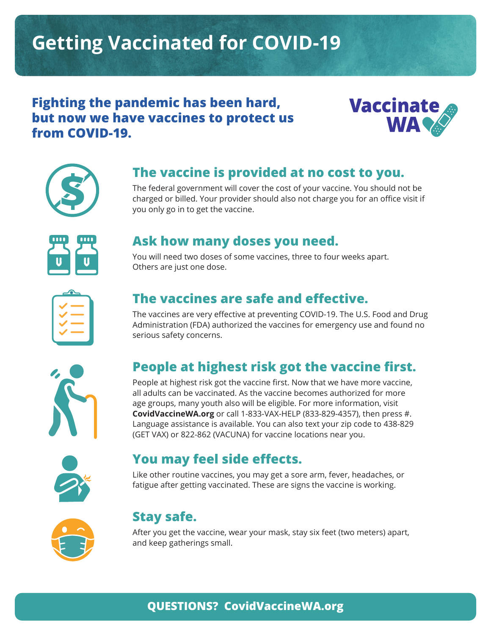# **Getting Vaccinated for COVID-19**

#### **Fighting the pandemic has been hard, but now we have vaccines to protect us from COVID-19.**





#### **The vaccine is provided at no cost to you.**

The federal government will cover the cost of your vaccine. You should not be charged or billed. Your provider should also not charge you for an office visit if you only go in to get the vaccine.



#### **Ask how many doses you need.**

You will need two doses of some vaccines, three to four weeks apart. Others are just one dose.

| ٠ |  |
|---|--|
|   |  |
|   |  |
|   |  |
|   |  |
|   |  |

## **The vaccines are safe and effective.**

The vaccines are very effective at preventing COVID-19. The U.S. Food and Drug Administration (FDA) authorized the vaccines for emergency use and found no serious safety concerns.



# **People at highest risk got the vaccine first.**

People at highest risk got the vaccine first. Now that we have more vaccine, all adults can be vaccinated. As the vaccine becomes authorized for more age groups, many youth also will be eligible. For more information, visit **CovidVaccineWA.org** or call 1-833-VAX-HELP (833-829-4357), then press #. Language assistance is available. You can also text your zip code to 438-829 (GET VAX) or 822-862 (VACUNA) for vaccine locations near you.



## **You may feel side effects.**

Like other routine vaccines, you may get a sore arm, fever, headaches, or fatigue after getting vaccinated. These are signs the vaccine is working.



## **Stay safe.**

After you get the vaccine, wear your mask, stay six feet (two meters) apart, and keep gatherings small.